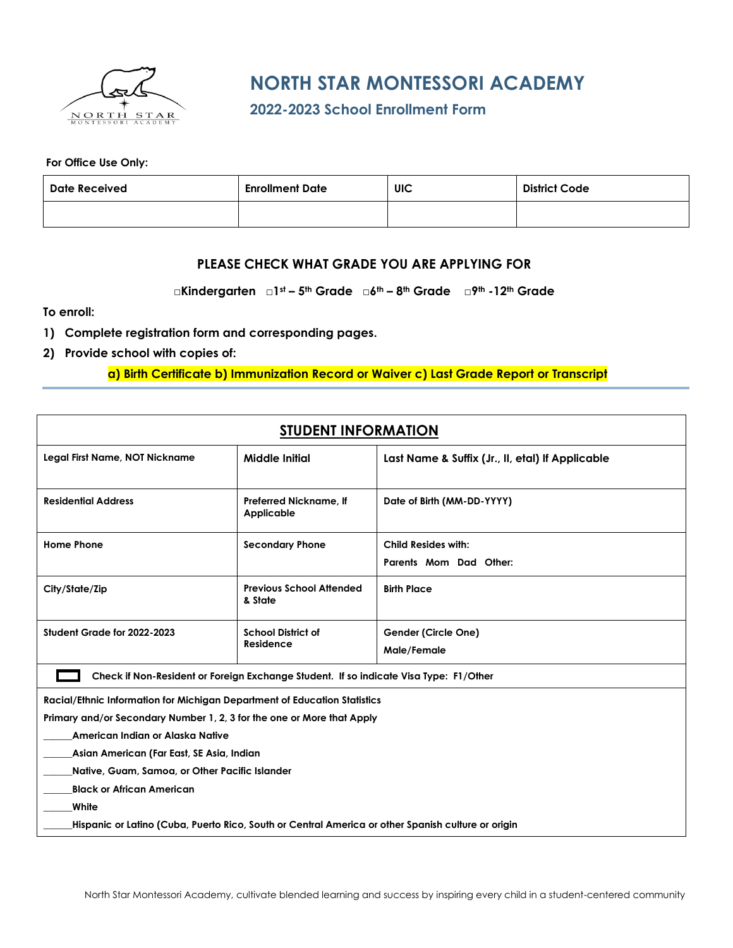

## **NORTH STAR MONTESSORI ACADEMY**

**2022-2023 School Enrollment Form**

**For Office Use Only:**

| Date Received | <b>Enrollment Date</b> | UIC | <b>District Code</b> |
|---------------|------------------------|-----|----------------------|
|               |                        |     |                      |

## **PLEASE CHECK WHAT GRADE YOU ARE APPLYING FOR**

**□Kindergarten □1st – 5th Grade □6th – 8th Grade □9th -12th Grade**

**To enroll:**

- **1) Complete registration form and corresponding pages.**
- **2) Provide school with copies of:**

**a) Birth Certificate b) Immunization Record or Waiver c) Last Grade Report or Transcript**

| <b>STUDENT INFORMATION</b>                                                                         |                                            |                                                  |  |  |  |
|----------------------------------------------------------------------------------------------------|--------------------------------------------|--------------------------------------------------|--|--|--|
| Legal First Name, NOT Nickname                                                                     | <b>Middle Initial</b>                      | Last Name & Suffix (Jr., II, etal) If Applicable |  |  |  |
| <b>Residential Address</b>                                                                         | Preferred Nickname, If<br>Applicable       | Date of Birth (MM-DD-YYYY)                       |  |  |  |
| <b>Home Phone</b>                                                                                  | <b>Secondary Phone</b>                     | Child Resides with:                              |  |  |  |
|                                                                                                    |                                            | Parents Mom Dad Other:                           |  |  |  |
| City/State/Zip                                                                                     | <b>Previous School Attended</b><br>& State | <b>Birth Place</b>                               |  |  |  |
| Student Grade for 2022-2023                                                                        | <b>School District of</b><br>Residence     | Gender (Circle One)<br>Male/Female               |  |  |  |
| Check if Non-Resident or Foreign Exchange Student. If so indicate Visa Type: F1/Other              |                                            |                                                  |  |  |  |
| Racial/Ethnic Information for Michigan Department of Education Statistics                          |                                            |                                                  |  |  |  |
| Primary and/or Secondary Number 1, 2, 3 for the one or More that Apply                             |                                            |                                                  |  |  |  |
| American Indian or Alaska Native                                                                   |                                            |                                                  |  |  |  |
| Asian American (Far East, SE Asia, Indian                                                          |                                            |                                                  |  |  |  |
| Native, Guam, Samoa, or Other Pacific Islander                                                     |                                            |                                                  |  |  |  |
| <b>Black or African American</b>                                                                   |                                            |                                                  |  |  |  |
| White                                                                                              |                                            |                                                  |  |  |  |
| Hispanic or Latino (Cuba, Puerto Rico, South or Central America or other Spanish culture or origin |                                            |                                                  |  |  |  |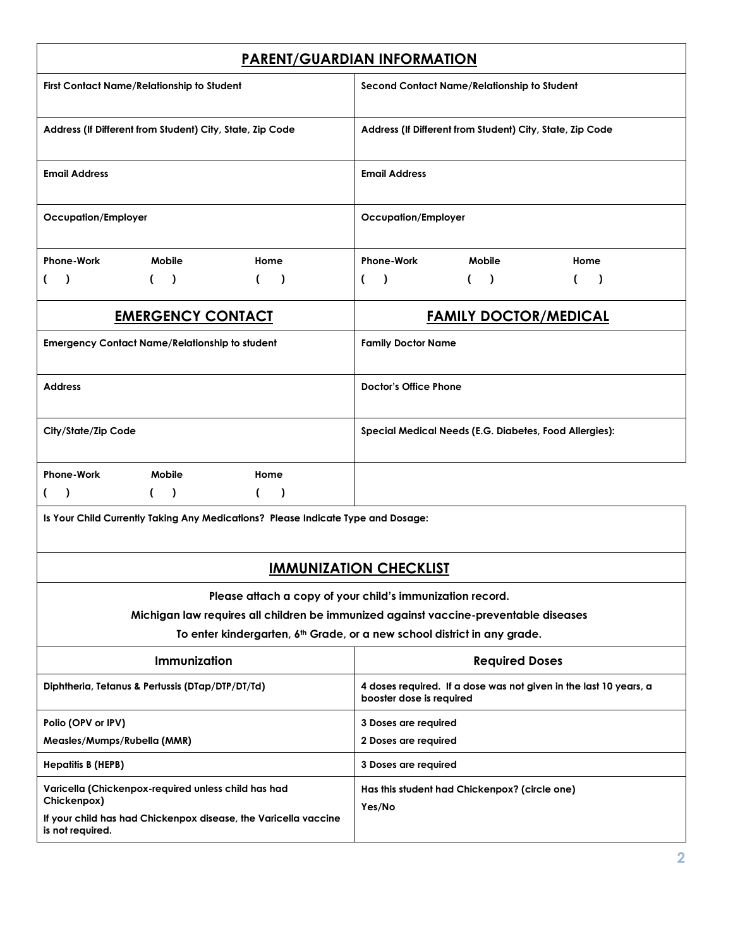| <b>PARENT/GUARDIAN INFORMATION</b>                                                   |                                                                                               |  |  |  |  |
|--------------------------------------------------------------------------------------|-----------------------------------------------------------------------------------------------|--|--|--|--|
| First Contact Name/Relationship to Student                                           | Second Contact Name/Relationship to Student                                                   |  |  |  |  |
| Address (If Different from Student) City, State, Zip Code                            | Address (If Different from Student) City, State, Zip Code                                     |  |  |  |  |
| <b>Email Address</b>                                                                 | <b>Email Address</b>                                                                          |  |  |  |  |
| Occupation/Employer                                                                  | <b>Occupation/Employer</b>                                                                    |  |  |  |  |
| <b>Phone-Work</b><br>Mobile<br>Home                                                  | <b>Phone-Work</b><br>Mobile<br>Home                                                           |  |  |  |  |
| $\lambda$<br>$\lambda$<br>(<br>$\rightarrow$<br>€<br>€                               | $\rightarrow$<br>$\mathcal{L}$<br>$\lambda$<br>(<br>$\mathcal{L}$                             |  |  |  |  |
| <b>EMERGENCY CONTACT</b>                                                             | <b>FAMILY DOCTOR/MEDICAL</b>                                                                  |  |  |  |  |
| <b>Emergency Contact Name/Relationship to student</b>                                | <b>Family Doctor Name</b>                                                                     |  |  |  |  |
| <b>Address</b>                                                                       | <b>Doctor's Office Phone</b>                                                                  |  |  |  |  |
| City/State/Zip Code                                                                  | Special Medical Needs (E.G. Diabetes, Food Allergies):                                        |  |  |  |  |
| <b>Phone-Work</b><br><b>Mobile</b><br>Home                                           |                                                                                               |  |  |  |  |
| (<br>$\lambda$<br>$\lambda$<br>$\lambda$<br>€<br>C                                   |                                                                                               |  |  |  |  |
| Is Your Child Currently Taking Any Medications? Please Indicate Type and Dosage:     |                                                                                               |  |  |  |  |
| <u>IMMUNIZATION CHECKLIST</u>                                                        |                                                                                               |  |  |  |  |
|                                                                                      | Please attach a copy of your child's immunization record.                                     |  |  |  |  |
|                                                                                      | Michigan law requires all children be immunized against vaccine-preventable diseases          |  |  |  |  |
| To enter kindergarten, 6 <sup>th</sup> Grade, or a new school district in any grade. |                                                                                               |  |  |  |  |
| Immunization                                                                         | <b>Required Doses</b>                                                                         |  |  |  |  |
| Diphtheria, Tetanus & Pertussis (DTap/DTP/DT/Td)                                     | 4 doses required. If a dose was not given in the last 10 years, a<br>booster dose is required |  |  |  |  |
| Polio (OPV or IPV)                                                                   | 3 Doses are required                                                                          |  |  |  |  |
| Measles/Mumps/Rubella (MMR)                                                          | 2 Doses are required                                                                          |  |  |  |  |
| <b>Hepatitis B (HEPB)</b>                                                            | 3 Doses are required                                                                          |  |  |  |  |
| Varicella (Chickenpox-required unless child has had<br>Chickenpox)                   | Has this student had Chickenpox? (circle one)                                                 |  |  |  |  |
| If your child has had Chickenpox disease, the Varicella vaccine<br>is not required.  | Yes/No                                                                                        |  |  |  |  |
|                                                                                      |                                                                                               |  |  |  |  |